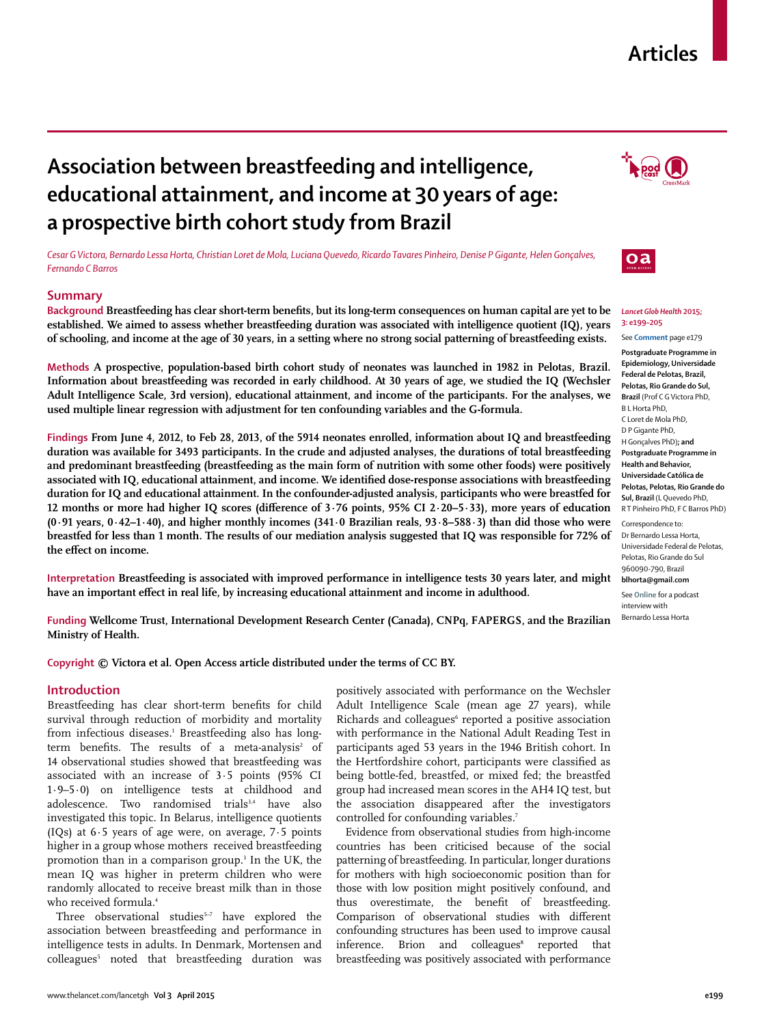# **Articles**

# **Association between breastfeeding and intelligence, educational attainment, and income at 30 years of age: a prospective birth cohort study from Brazil**

*Cesar G Victora, Bernardo Lessa Horta, Christian Loret de Mola, Luciana Quevedo, Ricardo Tavares Pinheiro, Denise P Gigante, Helen Gonçalves, Fernando C Barros*

# **Summary**

Background Breastfeeding has clear short-term benefits, but its long-term consequences on human capital are yet to be **established. We aimed to assess whether breastfeeding duration was associated with intelligence quotient (IQ), years of schooling, and income at the age of 30 years, in a setting where no strong social patterning of breastfeeding exists.**

**Methods A prospective, population-based birth cohort study of neonates was launched in 1982 in Pelotas, Brazil. Information about breastfeeding was recorded in early childhood. At 30 years of age, we studied the IQ (Wechsler Adult Intelligence Scale, 3rd version), educational attainment, and income of the participants. For the analyses, we used multiple linear regression with adjustment for ten confounding variables and the G-formula.**



**Interpretation Breastfeeding is associated with improved performance in intelligence tests 30 years later, and might**  have an important effect in real life, by increasing educational attainment and income in adulthood.

**Funding Wellcome Trust, International Development Research Center (Canada), CNPq, FAPERGS, and the Brazilian Ministry of Health.**

**Copyright © Victora et al. Open Access article distributed under the terms of CC BY.**

# **Introduction**

Breastfeeding has clear short-term benefits for child survival through reduction of morbidity and mortality from infectious diseases.<sup>1</sup> Breastfeeding also has longterm benefits. The results of a meta-analysis $^{\scriptscriptstyle 2}$  of 14 observational studies showed that breastfeeding was associated with an increase of 3·5 points (95% CI 1·9–5·0) on intelligence tests at childhood and adolescence. Two randomised trials<sup>3,4</sup> have also investigated this topic. In Belarus, intelligence quotients (IQs) at  $6.5$  years of age were, on average,  $7.5$  points higher in a group whose mothers received breastfeeding promotion than in a comparison group.3 In the UK, the mean IQ was higher in preterm children who were randomly allocated to receive breast milk than in those who received formula.<sup>4</sup>

Three observational studies<sup>5-7</sup> have explored the association between breastfeeding and performance in intelligence tests in adults. In Denmark, Mortensen and colleagues5 noted that breastfeeding duration was positively associated with performance on the Wechsler Adult Intelligence Scale (mean age 27 years), while Richards and colleagues<sup>6</sup> reported a positive association with performance in the National Adult Reading Test in participants aged 53 years in the 1946 British cohort. In the Hertfordshire cohort, participants were classified as being bottle-fed, breastfed, or mixed fed; the breastfed group had increased mean scores in the AH4 IQ test, but the association disappeared after the investigators controlled for confounding variables.<sup>7</sup>

Evidence from observational studies from high-income countries has been criticised because of the social patterning of breastfeeding. In particular, longer durations for mothers with high socioeconomic position than for those with low position might positively confound, and thus overestimate, the benefit of breastfeeding. Comparison of observational studies with different confounding structures has been used to improve causal inference. Brion and colleagues<sup>8</sup> reported that breastfeeding was positively associated with performance





## *Lancet Glob Health* **2015; 3: e199–205**

See **Comment** page e179

**Postgraduate Programme in Epidemiology, Universidade Federal de Pelotas, Brazil, Pelotas, Rio Grande do Sul, Brazil** (Prof C G Victora PhD, B L Horta PhD, C Loret de Mola PhD, D P Gigante PhD, H Gonçalves PhD)**; and Postgraduate Programme in Health and Behavior, Universidade Católica de Pelotas, Pelotas, Rio Grande do Sul, Brazil** (L Quevedo PhD, R T Pinheiro PhD, F C Barros PhD)

Correspondence to: Dr Bernardo Lessa Horta, Universidade Federal de Pelotas, Pelotas, Rio Grande do Sul 960090-790, Brazil **blhorta@gmail.com**

See **Online** for a podcast interview with Bernardo Lessa Horta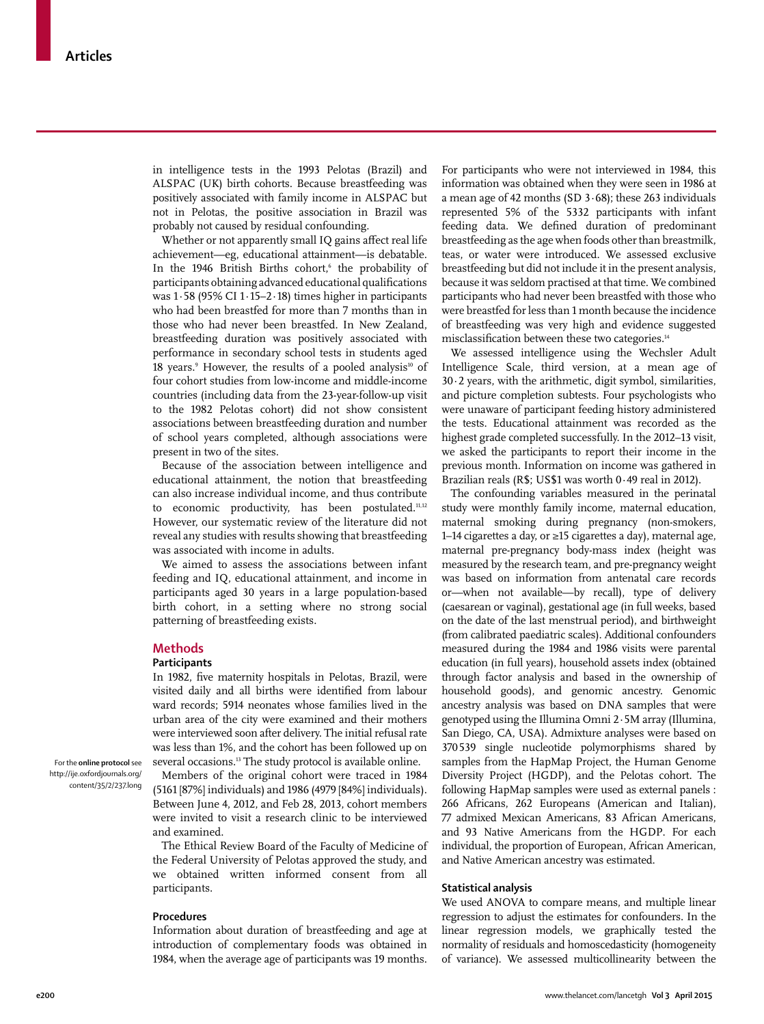in intelligence tests in the 1993 Pelotas (Brazil) and ALSPAC (UK) birth cohorts. Because breastfeeding was positively associated with family income in ALSPAC but not in Pelotas, the positive association in Brazil was probably not caused by residual confounding.

Whether or not apparently small IQ gains affect real life achievement—eg, educational attainment—is debatable. In the 1946 British Births cohort,<sup>6</sup> the probability of participants obtaining advanced educational qualifications was 1·58 (95% CI 1·15–2·18) times higher in participants who had been breastfed for more than 7 months than in those who had never been breastfed. In New Zealand, breastfeeding duration was positively associated with performance in secondary school tests in students aged 18 years.<sup>9</sup> However, the results of a pooled analysis<sup>10</sup> of four cohort studies from low-income and middle-income countries (including data from the 23-year-follow-up visit to the 1982 Pelotas cohort) did not show consistent associations between breastfeeding duration and number of school years completed, although associations were present in two of the sites.

Because of the association between intelligence and educational attainment, the notion that breastfeeding can also increase individual income, and thus contribute to economic productivity, has been postulated.<sup>11,12</sup> However, our systematic review of the literature did not reveal any studies with results showing that breastfeeding was associated with income in adults.

We aimed to assess the associations between infant feeding and IQ, educational attainment, and income in participants aged 30 years in a large population-based birth cohort, in a setting where no strong social patterning of breastfeeding exists.

#### **Methods**

# **Participants**

In 1982, five maternity hospitals in Pelotas, Brazil, were visited daily and all births were identified from labour ward records; 5914 neonates whose families lived in the urban area of the city were examined and their mothers were interviewed soon after delivery. The initial refusal rate was less than 1%, and the cohort has been followed up on several occasions.<sup>13</sup> The study protocol is available online.

Members of the original cohort were traced in 1984 (5161 [87%] individuals) and 1986 (4979 [84%] individuals). Between June 4, 2012, and Feb 28, 2013, cohort members were invited to visit a research clinic to be interviewed and examined.

The Ethical Review Board of the Faculty of Medicine of the Federal University of Pelotas approved the study, and we obtained written informed consent from all participants.

### **Procedures**

Information about duration of breastfeeding and age at introduction of complementary foods was obtained in 1984, when the average age of participants was 19 months.

For participants who were not interviewed in 1984, this information was obtained when they were seen in 1986 at a mean age of 42 months (SD 3·68); these 263 individuals represented 5% of the 5332 participants with infant feeding data. We defined duration of predominant breastfeeding as the age when foods other than breastmilk, teas, or water were introduced. We assessed exclusive breastfeeding but did not include it in the present analysis, because it was seldom practised at that time. We combined participants who had never been breastfed with those who were breastfed for less than 1 month because the incidence of breastfeeding was very high and evidence suggested misclassification between these two categories.<sup>14</sup>

We assessed intelligence using the Wechsler Adult Intelligence Scale, third version, at a mean age of 30·2 years, with the arithmetic, digit symbol, similarities, and picture completion subtests. Four psychologists who were unaware of participant feeding history administered the tests. Educational attainment was recorded as the highest grade completed successfully. In the 2012–13 visit, we asked the participants to report their income in the previous month. Information on income was gathered in Brazilian reals (R\$; US\$1 was worth 0·49 real in 2012).

The confounding variables measured in the perinatal study were monthly family income, maternal education, maternal smoking during pregnancy (non-smokers, 1–14 cigarettes a day, or ≥15 cigarettes a day), maternal age, maternal pre-pregnancy body-mass index (height was measured by the research team, and pre-pregnancy weight was based on information from antenatal care records or—when not available—by recall), type of delivery (caesarean or vaginal), gestational age (in full weeks, based on the date of the last menstrual period), and birthweight (from calibrated paediatric scales). Additional confounders measured during the 1984 and 1986 visits were parental education (in full years), household assets index (obtained through factor analysis and based in the ownership of household goods), and genomic ancestry. Genomic ancestry analysis was based on DNA samples that were genotyped using the Illumina Omni 2·5M array (Illumina, San Diego, CA, USA). Admixture analyses were based on 370 539 single nucleotide polymorphisms shared by samples from the HapMap Project, the Human Genome Diversity Project (HGDP), and the Pelotas cohort. The following HapMap samples were used as external panels : 266 Africans, 262 Europeans (American and Italian), 77 admixed Mexican Americans, 83 African Americans, and 93 Native Americans from the HGDP. For each individual, the proportion of European, African American, and Native American ancestry was estimated.

## **Statistical analysis**

We used ANOVA to compare means, and multiple linear regression to adjust the estimates for confounders. In the linear regression models, we graphically tested the normality of residuals and homoscedasticity (homogeneity of variance). We assessed multicollinearity between the

For the **online protocol** see http://ije.oxfordjournals.org/ content/35/2/237.long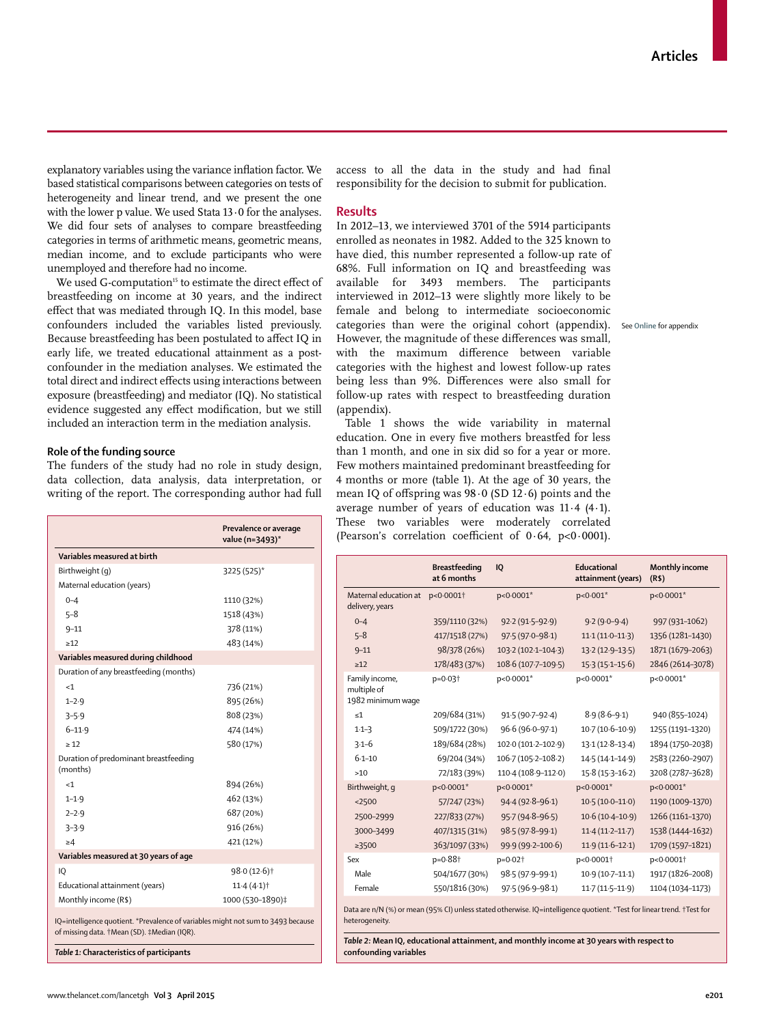explanatory variables using the variance inflation factor. We based statistical comparisons between categories on tests of heterogeneity and linear trend, and we present the one with the lower p value. We used Stata  $13 \cdot 0$  for the analyses. We did four sets of analyses to compare breastfeeding categories in terms of arithmetic means, geometric means, median income, and to exclude participants who were unemployed and therefore had no income.

We used G-computation<sup>15</sup> to estimate the direct effect of breastfeeding on income at 30 years, and the indirect effect that was mediated through IQ. In this model, base confounders included the variables listed previously. Because breastfeeding has been postulated to affect IQ in early life, we treated educational attainment as a postconfounder in the mediation analyses. We estimated the total direct and indirect effects using interactions between exposure (breastfeeding) and mediator (IQ). No statistical evidence suggested any effect modification, but we still included an interaction term in the mediation analysis.

# **Role of the funding source**

The funders of the study had no role in study design, data collection, data analysis, data interpretation, or writing of the report. The corresponding author had full

|                                                                                                                                 | Prevalence or average<br>value (n=3493)* |
|---------------------------------------------------------------------------------------------------------------------------------|------------------------------------------|
| Variables measured at birth                                                                                                     |                                          |
| Birthweight (g)                                                                                                                 | 3225 (525)*                              |
| Maternal education (years)                                                                                                      |                                          |
| $0 - 4$                                                                                                                         | 1110 (32%)                               |
| $5 - 8$                                                                                                                         | 1518 (43%)                               |
| $9 - 11$                                                                                                                        | 378 (11%)                                |
| >12                                                                                                                             | 483 (14%)                                |
| Variables measured during childhood                                                                                             |                                          |
| Duration of any breastfeeding (months)                                                                                          |                                          |
| <1                                                                                                                              | 736 (21%)                                |
| $1 - 2.9$                                                                                                                       | 895 (26%)                                |
| $3 - 5.9$                                                                                                                       | 808 (23%)                                |
| $6 - 11.9$                                                                                                                      | 474 (14%)                                |
| >12                                                                                                                             | 580 (17%)                                |
| Duration of predominant breastfeeding<br>(months)                                                                               |                                          |
| <1                                                                                                                              | 894 (26%)                                |
| $1 - 1.9$                                                                                                                       | 462 (13%)                                |
| $2 - 2.9$                                                                                                                       | 687 (20%)                                |
| $3 - 3.9$                                                                                                                       | 916 (26%)                                |
| >4                                                                                                                              | 421 (12%)                                |
| Variables measured at 30 years of age                                                                                           |                                          |
| IO                                                                                                                              | 98.0 (12.6) <sup>†</sup>                 |
| Educational attainment (years)                                                                                                  | 11.4(4.1)                                |
| Monthly income (R\$)                                                                                                            | 1000 (530-1890)‡                         |
| IQ=intelligence quotient. *Prevalence of variables might not sum to 3493 because<br>of missing data. †Mean (SD). ‡Median (IQR). |                                          |

*Table 1:* **Characteristics of participants**

access to all the data in the study and had final responsibility for the decision to submit for publication.

## **Results**

In 2012–13, we interviewed 3701 of the 5914 participants enrolled as neonates in 1982. Added to the 325 known to have died, this number represented a follow-up rate of 68%. Full information on IQ and breastfeeding was available for 3493 members. The participants interviewed in 2012–13 were slightly more likely to be female and belong to intermediate socioeconomic categories than were the original cohort (appendix). See **Online** for appendixHowever, the magnitude of these differences was small, with the maximum difference between variable categories with the highest and lowest follow-up rates being less than 9%. Differences were also small for follow-up rates with respect to breastfeeding duration (appendix).

Table 1 shows the wide variability in maternal education. One in every five mothers breastfed for less than 1 month, and one in six did so for a year or more. Few mothers maintained predominant breastfeeding for 4 months or more (table 1). At the age of 30 years, the mean IQ of offspring was  $98.0$  (SD 12.6) points and the average number of years of education was 11·4 (4·1). These two variables were moderately correlated (Pearson's correlation coefficient of  $0.64$ ,  $p<0.0001$ ).

|                                                                                                                                          | <b>Breastfeeding</b><br>at 6 months | <b>IQ</b>           | Educational<br>attainment (years) | <b>Monthly income</b><br>(R5) |  |  |  |
|------------------------------------------------------------------------------------------------------------------------------------------|-------------------------------------|---------------------|-----------------------------------|-------------------------------|--|--|--|
| Maternal education at p<0.0001+<br>delivery, years                                                                                       |                                     | p<0.0001*           | p<0.001*                          | p<0.0001*                     |  |  |  |
| $0 - 4$                                                                                                                                  | 359/1110 (32%)                      | 92.2 (91.5-92.9)    | $9.2(9.0-9.4)$                    | 997 (931-1062)                |  |  |  |
| $5 - 8$                                                                                                                                  | 417/1518 (27%)                      | 97.5 (97.0-98.1)    | $11.1(11.0-11.3)$                 | 1356 (1281-1430)              |  |  |  |
| $9 - 11$                                                                                                                                 | 98/378 (26%)                        | 103-2 (102-1-104-3) | $13.2(12.9-13.5)$                 | 1871 (1679-2063)              |  |  |  |
| $\geq 12$                                                                                                                                | 178/483 (37%)                       | 108.6 (107.7-109.5) | $15.3(15.1 - 15.6)$               | 2846 (2614-3078)              |  |  |  |
| Family income,<br>multiple of<br>1982 minimum waqe                                                                                       | p=0.03 <sup>+</sup>                 | p<0.0001*           | p<0.0001*                         | p<0.0001*                     |  |  |  |
| $\leq 1$                                                                                                                                 | 209/684 (31%)                       | $91.5(90.7-92.4)$   | $8.9(8.6 - 9.1)$                  | 940 (855-1024)                |  |  |  |
| $1-1-3$                                                                                                                                  | 509/1722 (30%)                      | 96.6 (96.0-97.1)    | $10.7(10.6 - 10.9)$               | 1255 (1191-1320)              |  |  |  |
| $3.1 - 6$                                                                                                                                | 189/684 (28%)                       | 102.0 (101.2-102.9) | $13.1(12.8-13.4)$                 | 1894 (1750-2038)              |  |  |  |
| $6 - 1 - 10$                                                                                                                             | 69/204 (34%)                        | 106-7 (105-2-108-2) | 14.5 (14.1-14.9)                  | 2583 (2260-2907)              |  |  |  |
| >10                                                                                                                                      | 72/183 (39%)                        | 110-4 (108-9-112-0) | $15.8(15.3 - 16.2)$               | 3208 (2787-3628)              |  |  |  |
| Birthweight, q                                                                                                                           | p<0.0001*                           | p<0.0001*           | p<0.0001*                         | p<0.0001*                     |  |  |  |
| $2500$                                                                                                                                   | 57/247 (23%)                        | 94.4 (92.8-96.1)    | $10.5(10.0-11.0)$                 | 1190 (1009-1370)              |  |  |  |
| 2500-2999                                                                                                                                | 227/833 (27%)                       | 95.7 (94.8-96.5)    | $10.6(10.4 - 10.9)$               | 1266 (1161-1370)              |  |  |  |
| 3000-3499                                                                                                                                | 407/1315 (31%)                      | 98.5 (97.8-99.1)    | $11.4(11.2 - 11.7)$               | 1538 (1444-1632)              |  |  |  |
| $\geq 3500$                                                                                                                              | 363/1097 (33%)                      | 99.9 (99.2-100.6)   | $11.9(11.6-12.1)$                 | 1709 (1597-1821)              |  |  |  |
| Sex                                                                                                                                      | p=0.88+                             | p=0.02 <sup>+</sup> | p<0.0001+                         | p<0.0001+                     |  |  |  |
| Male                                                                                                                                     | 504/1677 (30%)                      | 98-5 (97-9-99-1)    | $10.9(10.7-11.1)$                 | 1917 (1826-2008)              |  |  |  |
| Female                                                                                                                                   | 550/1816 (30%)                      | 97.5 (96.9-98.1)    | $11.7(11.5-11.9)$                 | 1104 (1034-1173)              |  |  |  |
| Data are n/N (%) or mean (95% CI) unless stated otherwise. IQ=intelligence quotient. *Test for linear trend. †Test for<br>heterogeneity. |                                     |                     |                                   |                               |  |  |  |

*Table 2:* **Mean IQ, educational attainment, and monthly income at 30 years with respect to confounding variables**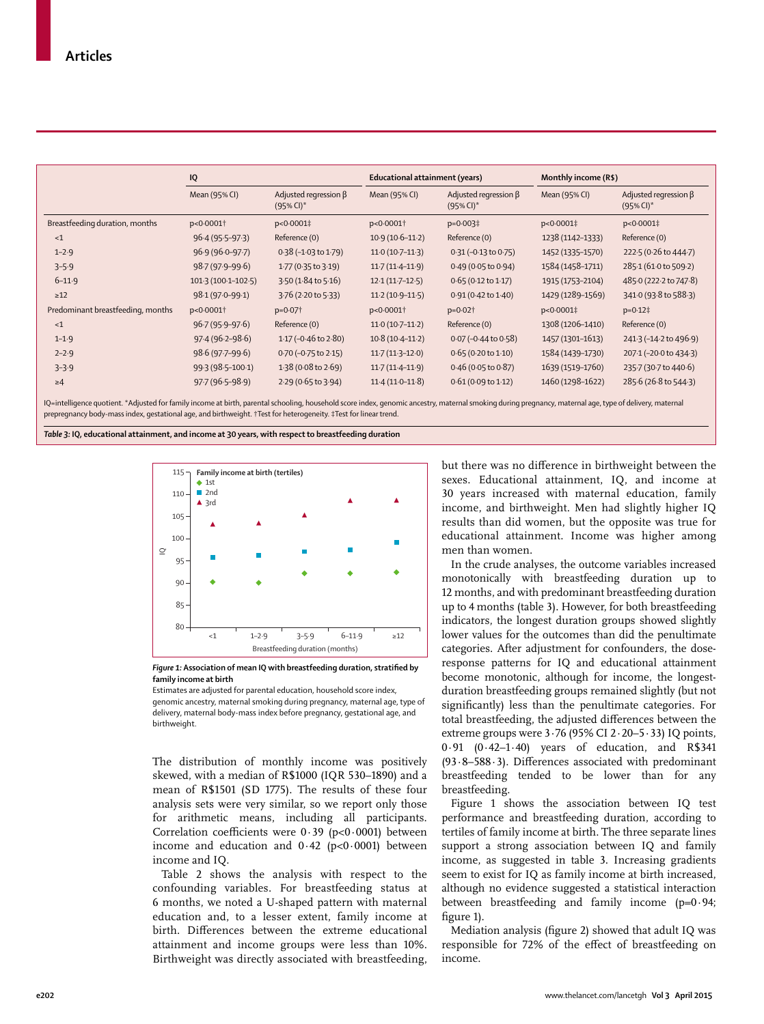| IQ<br>Mean (95% CI)<br>p<0.0001+<br>$96.4(95.5-97.3)$<br>$96.9(96.0 - 97.7)$ | Adjusted regression $\beta$<br>$(95\%$ CI) <sup>*</sup><br>p<0.0001‡<br>Reference (0) | Educational attainment (years)<br>Mean (95% CI)<br>p<0.0001+ | Adjusted regression $\beta$<br>$(95\%$ CI) <sup>*</sup><br>p=0.003‡ | Monthly income (R\$)<br>Mean (95% CI)<br>p<0.0001‡ | Adjusted regression $\beta$<br>$(95\%$ CI) <sup>*</sup><br>p<0.0001‡ |
|------------------------------------------------------------------------------|---------------------------------------------------------------------------------------|--------------------------------------------------------------|---------------------------------------------------------------------|----------------------------------------------------|----------------------------------------------------------------------|
|                                                                              |                                                                                       |                                                              |                                                                     |                                                    |                                                                      |
|                                                                              |                                                                                       |                                                              |                                                                     |                                                    |                                                                      |
|                                                                              |                                                                                       |                                                              |                                                                     |                                                    |                                                                      |
|                                                                              |                                                                                       | $10.9(10.6-11.2)$                                            | Reference (0)                                                       | 1238 (1142-1333)                                   | Reference (0)                                                        |
|                                                                              | $0.38(-1.03 \text{ to } 1.79)$                                                        | $11.0(10.7-11.3)$                                            | $0.31 (-0.13 to 0.75)$                                              | 1452 (1335-1570)                                   | 222.5 (0.26 to 444.7)                                                |
| 98.7 (97.9-99.6)                                                             | 1.77 (0.35 to 3.19)                                                                   | $11.7(11.4-11.9)$                                            | 0.49(0.05 to 0.94)                                                  | 1584 (1458-1711)                                   | 285-1 (61-0 to 509-2)                                                |
| 101.3 (100.1-102.5)                                                          | 3.50 (1.84 to 5.16)                                                                   | $12.1(11.7-12.5)$                                            | $0.65(0.12 \text{ to } 1.17)$                                       | 1915 (1753-2104)                                   | 485.0 (222.2 to 747.8)                                               |
| 98.1 (97.0-99.1)                                                             | 3.76 (2.20 to 5.33)                                                                   | $11.2(10.9-11.5)$                                            | $0.91(0.42 \text{ to } 1.40)$                                       | 1429 (1289-1569)                                   | 341.0 (93.8 to 588.3)                                                |
| p<0.0001+                                                                    | $p=0.07$ <sup>+</sup>                                                                 | p<0.0001+                                                    | $p=0.02$ <sup>+</sup>                                               | p<0.0001‡                                          | $p=0.12$ ‡                                                           |
| $96.7(95.9-97.6)$                                                            | Reference (0)                                                                         | $11.0(10.7-11.2)$                                            | Reference (0)                                                       | 1308 (1206-1410)                                   | Reference (0)                                                        |
| $97.4(96.2 - 98.6)$                                                          | $1.17$ (-0.46 to 2.80)                                                                | $10.8(10.4-11.2)$                                            | $0.07 (-0.44 to 0.58)$                                              | 1457 (1301-1613)                                   | 241.3 (-14.2 to 496.9)                                               |
| $98.6(97.7 - 99.6)$                                                          | $0.70$ (-0.75 to 2.15)                                                                | $11.7(11.3-12.0)$                                            | $0.65(0.20 \text{ to } 1.10)$                                       | 1584 (1439-1730)                                   | 207.1 (-20.0 to 434.3)                                               |
| 99.3 (98.5-100.1)                                                            | 1.38 (0.08 to 2.69)                                                                   | $11.7(11.4-11.9)$                                            | $0.46$ (0.05 to 0.87)                                               | 1639 (1519-1760)                                   | 235.7 (30.7 to 440.6)                                                |
| $97.7(96.5 - 98.9)$                                                          | 2.29 (0.65 to 3.94)                                                                   | $11.4(11.0-11.8)$                                            | 0.61(0.09 to 1.12)                                                  | 1460 (1298-1622)                                   | 285.6 (26.8 to 544.3)                                                |
|                                                                              |                                                                                       |                                                              |                                                                     |                                                    |                                                                      |

IQ=intelligence quotient. \*Adjusted for family income at birth, parental schooling, household score index, genomic ancestry, maternal smoking during pregnancy, maternal age, type of delivery, maternal prepregnancy body-mass index, gestational age, and birthweight. †Test for heterogeneity. ‡Test for linear trend.

*Table 3:* **IQ, educational attainment, and income at 30 years, with respect to breastfeeding duration**





Estimates are adjusted for parental education, household score index, genomic ancestry, maternal smoking during pregnancy, maternal age, type of delivery, maternal body-mass index before pregnancy, gestational age, and birthweight.

The distribution of monthly income was positively skewed, with a median of R\$1000 (IQR 530–1890) and a mean of R\$1501 (SD 1775). The results of these four analysis sets were very similar, so we report only those for arithmetic means, including all participants. Correlation coefficients were  $0.39$  (p<0.0001) between income and education and  $0.42$  (p<0.0001) between income and IQ.

Table 2 shows the analysis with respect to the confounding variables. For breastfeeding status at 6 months, we noted a U-shaped pattern with maternal education and, to a lesser extent, family income at birth. Differences between the extreme educational attainment and income groups were less than 10%. Birthweight was directly associated with breastfeeding,

but there was no difference in birthweight between the sexes. Educational attainment, IQ, and income at 30 years increased with maternal education, family income, and birthweight. Men had slightly higher IQ results than did women, but the opposite was true for educational attainment. Income was higher among men than women.

In the crude analyses, the outcome variables increased monotonically with breastfeeding duration up to 12 months, and with predominant breastfeeding duration up to 4 months (table 3). However, for both breastfeeding indicators, the longest duration groups showed slightly lower values for the outcomes than did the penultimate categories. After adjustment for confounders, the doseresponse patterns for IQ and educational attainment become monotonic, although for income, the longestduration breastfeeding groups remained slightly (but not significantly) less than the penultimate categories. For total breastfeeding, the adjusted differences between the extreme groups were  $3.76$  (95% CI  $2.20 - 5.33$ ) IQ points, 0·91 (0·42–1·40) years of education, and R\$341  $(93.8-588.3)$ . Differences associated with predominant breastfeeding tended to be lower than for any breastfeeding.

Figure 1 shows the association between IQ test performance and breastfeeding duration, according to tertiles of family income at birth. The three separate lines support a strong association between IQ and family income, as suggested in table 3. Increasing gradients seem to exist for IQ as family income at birth increased, although no evidence suggested a statistical interaction between breastfeeding and family income (p=0.94; figure 1).

Mediation analysis (figure 2) showed that adult IQ was responsible for 72% of the effect of breastfeeding on income.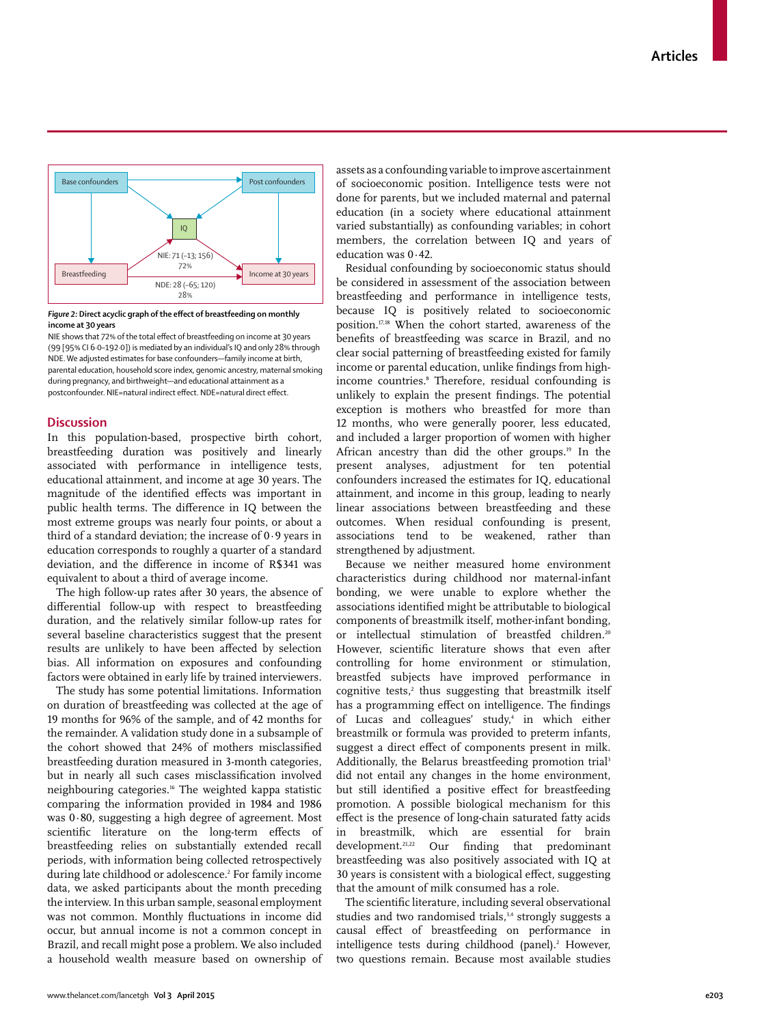

Figure 2: Direct acyclic graph of the effect of breastfeeding on monthly **income at 30 years**

NIE shows that 72% of the total effect of breastfeeding on income at 30 years (99 [95% CI 6·0–192·0]) is mediated by an individual's IQ and only 28% through NDE. We adjusted estimates for base confounders—family income at birth, parental education, household score index, genomic ancestry, maternal smoking during pregnancy, and birthweight—and educational attainment as a postconfounder. NIE=natural indirect effect. NDE=natural direct effect.

# **Discussion**

In this population-based, prospective birth cohort, breastfeeding duration was positively and linearly associated with performance in intelligence tests, educational attainment, and income at age 30 years. The magnitude of the identified effects was important in public health terms. The difference in IQ between the most extreme groups was nearly four points, or about a third of a standard deviation; the increase of 0·9 years in education corresponds to roughly a quarter of a standard deviation, and the difference in income of R\$341 was equivalent to about a third of average income.

The high follow-up rates after 30 years, the absence of differential follow-up with respect to breastfeeding duration, and the relatively similar follow-up rates for several baseline characteristics suggest that the present results are unlikely to have been affected by selection bias. All information on exposures and confounding factors were obtained in early life by trained interviewers.

The study has some potential limitations. Information on duration of breastfeeding was collected at the age of 19 months for 96% of the sample, and of 42 months for the remainder. A validation study done in a subsample of the cohort showed that 24% of mothers misclassified breastfeeding duration measured in 3-month categories, but in nearly all such cases misclassification involved neighbouring categories.16 The weighted kappa statistic comparing the information provided in 1984 and 1986 was 0·80, suggesting a high degree of agreement. Most scientific literature on the long-term effects of breastfeeding relies on substantially extended recall periods, with information being collected retrospectively during late childhood or adolescence.2 For family income data, we asked participants about the month preceding the interview. In this urban sample, seasonal employment was not common. Monthly fluctuations in income did occur, but annual income is not a common concept in Brazil, and recall might pose a problem. We also included a household wealth measure based on ownership of

assets as a confounding variable to improve ascertainment of socioeconomic position. Intelligence tests were not done for parents, but we included maternal and paternal education (in a society where educational attainment varied substantially) as confounding variables; in cohort members, the correlation between IQ and years of education was 0·42.

Residual confounding by socioeconomic status should be considered in assessment of the association between breastfeeding and performance in intelligence tests, because IQ is positively related to socioeconomic position.17,18 When the cohort started, awareness of the benefits of breastfeeding was scarce in Brazil, and no clear social patterning of breastfeeding existed for family income or parental education, unlike findings from highincome countries.8 Therefore, residual confounding is unlikely to explain the present findings. The potential exception is mothers who breastfed for more than 12 months, who were generally poorer, less educated, and included a larger proportion of women with higher African ancestry than did the other groups.19 In the present analyses, adjustment for ten potential confounders increased the estimates for IQ, educational attainment, and income in this group, leading to nearly linear associations between breastfeeding and these outcomes. When residual confounding is present, associations tend to be weakened, rather than strengthened by adjustment.

Because we neither measured home environment characteristics during childhood nor maternal-infant bonding, we were unable to explore whether the associations identified might be attributable to biological components of breastmilk itself, mother-infant bonding, or intellectual stimulation of breastfed children.<sup>20</sup> However, scientific literature shows that even after controlling for home environment or stimulation, breastfed subjects have improved performance in  $c$ ognitive tests,<sup>2</sup> thus suggesting that breastmilk itself has a programming effect on intelligence. The findings of Lucas and colleagues' study,<sup>4</sup> in which either breastmilk or formula was provided to preterm infants, suggest a direct effect of components present in milk. Additionally, the Belarus breastfeeding promotion trial<sup>3</sup> did not entail any changes in the home environment, but still identified a positive effect for breastfeeding promotion. A possible biological mechanism for this effect is the presence of long-chain saturated fatty acids in breastmilk, which are essential for brain development.<sup>21,22</sup> Our finding that predominant breastfeeding was also positively associated with IQ at 30 years is consistent with a biological effect, suggesting that the amount of milk consumed has a role.

The scientific literature, including several observational studies and two randomised trials,<sup>3,4</sup> strongly suggests a causal effect of breastfeeding on performance in intelligence tests during childhood (panel).<sup>2</sup> However, two questions remain. Because most available studies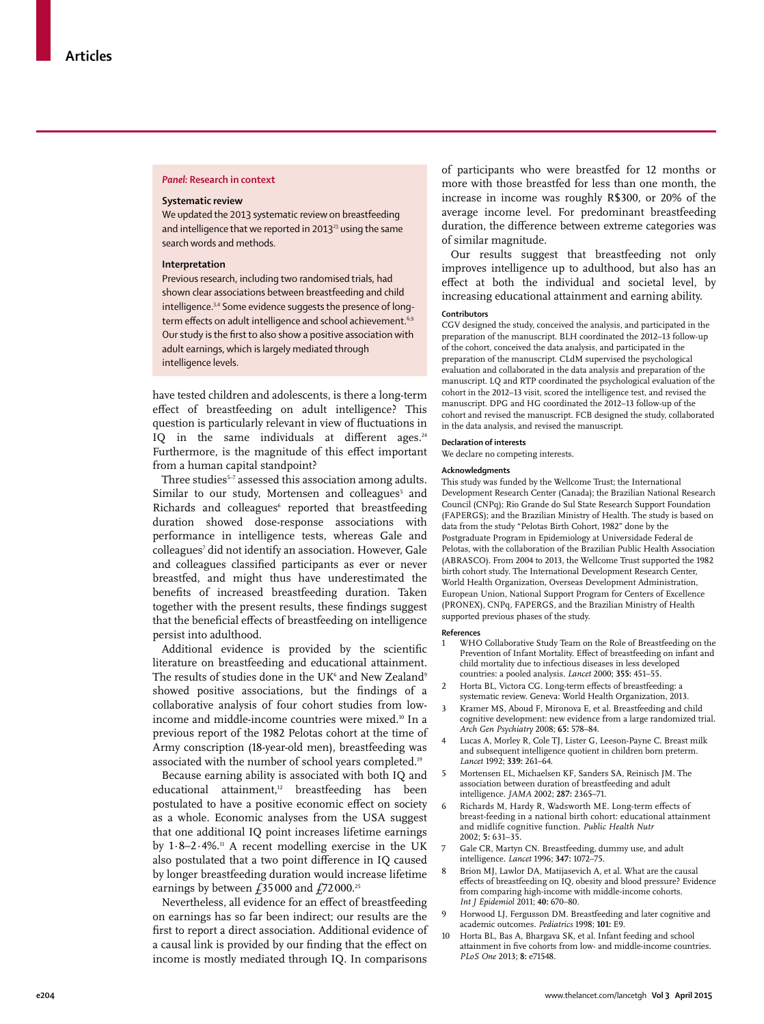# *Panel:* **Research in context**

# **Systematic review**

We updated the 2013 systematic review on breastfeeding and intelligence that we reported in  $2013^{23}$  using the same search words and methods.

#### **Interpretation**

Previous research, including two randomised trials, had shown clear associations between breastfeeding and child intelligence.<sup>3,4</sup> Some evidence suggests the presence of longterm effects on adult intelligence and school achievement.<sup>6,9</sup> Our study is the first to also show a positive association with adult earnings, which is largely mediated through intelligence levels.

have tested children and adolescents, is there a long-term effect of breastfeeding on adult intelligence? This question is particularly relevant in view of fluctuations in IQ in the same individuals at different ages. $24$ Furthermore, is the magnitude of this effect important from a human capital standpoint?

Three studies<sup>5-7</sup> assessed this association among adults. Similar to our study, Mortensen and colleagues<sup>5</sup> and Richards and colleagues<sup>6</sup> reported that breastfeeding duration showed dose-response associations with performance in intelligence tests, whereas Gale and colleagues7 did not identify an association. However, Gale and colleagues classified participants as ever or never breastfed, and might thus have underestimated the benefits of increased breastfeeding duration. Taken together with the present results, these findings suggest that the beneficial effects of breastfeeding on intelligence persist into adulthood.

Additional evidence is provided by the scientific literature on breastfeeding and educational attainment. The results of studies done in the UK<sup>6</sup> and New Zealand<sup>9</sup> showed positive associations, but the findings of a collaborative analysis of four cohort studies from lowincome and middle-income countries were mixed.<sup>10</sup> In a previous report of the 1982 Pelotas cohort at the time of Army conscription (18-year-old men), breastfeeding was associated with the number of school years completed.<sup>19</sup>

Because earning ability is associated with both IQ and educational attainment,<sup>12</sup> breastfeeding has been postulated to have a positive economic effect on society as a whole. Economic analyses from the USA suggest that one additional IQ point increases lifetime earnings by  $1.8-2.4\%$ .<sup>11</sup> A recent modelling exercise in the UK also postulated that a two point difference in IQ caused by longer breastfeeding duration would increase lifetime earnings by between  $\text{\emph{f}}35\,000$  and  $\text{\emph{f}}72\,000$ .<sup>25</sup>

Nevertheless, all evidence for an effect of breastfeeding on earnings has so far been indirect; our results are the first to report a direct association. Additional evidence of a causal link is provided by our finding that the effect on income is mostly mediated through IQ. In comparisons

of participants who were breastfed for 12 months or more with those breastfed for less than one month, the increase in income was roughly R\$300, or 20% of the average income level. For predominant breastfeeding duration, the difference between extreme categories was of similar magnitude.

Our results suggest that breastfeeding not only improves intelligence up to adulthood, but also has an effect at both the individual and societal level, by increasing educational attainment and earning ability.

#### **Contributors**

CGV designed the study, conceived the analysis, and participated in the preparation of the manuscript. BLH coordinated the 2012–13 follow-up of the cohort, conceived the data analysis, and participated in the preparation of the manuscript. CLdM supervised the psychological evaluation and collaborated in the data analysis and preparation of the manuscript. LQ and RTP coordinated the psychological evaluation of the cohort in the 2012–13 visit, scored the intelligence test, and revised the manuscript. DPG and HG coordinated the 2012–13 follow-up of the cohort and revised the manuscript. FCB designed the study, collaborated in the data analysis, and revised the manuscript.

#### **Declaration of interests**

We declare no competing interests.

#### **Acknowledgments**

This study was funded by the Wellcome Trust; the International Development Research Center (Canada); the Brazilian National Research Council (CNPq); Rio Grande do Sul State Research Support Foundation (FAPERGS); and the Brazilian Ministry of Health. The study is based on data from the study "Pelotas Birth Cohort, 1982" done by the Postgraduate Program in Epidemiology at Universidade Federal de Pelotas, with the collaboration of the Brazilian Public Health Association (ABRASCO). From 2004 to 2013, the Wellcome Trust supported the 1982 birth cohort study. The International Development Research Center, World Health Organization, Overseas Development Administration, European Union, National Support Program for Centers of Excellence (PRONEX), CNPq, FAPERGS, and the Brazilian Ministry of Health supported previous phases of the study.

#### **References**

- 1 WHO Collaborative Study Team on the Role of Breastfeeding on the Prevention of Infant Mortality. Effect of breastfeeding on infant and child mortality due to infectious diseases in less developed countries: a pooled analysis. *Lancet* 2000; **355:** 451–55.
- Horta BL, Victora CG. Long-term effects of breastfeeding: a systematic review. Geneva: World Health Organization, 2013.
- 3 Kramer MS, Aboud F, Mironova E, et al. Breastfeeding and child cognitive development: new evidence from a large randomized trial. *Arch Gen Psychiatry* 2008; **65:** 578–84.
- Lucas A, Morley R, Cole TJ, Lister G, Leeson-Payne C. Breast milk and subsequent intelligence quotient in children born preterm. *Lancet* 1992; **339:** 261–64.
- 5 Mortensen EL, Michaelsen KF, Sanders SA, Reinisch JM. The association between duration of breastfeeding and adult intelligence. *JAMA* 2002; **287:** 2365–71.
- Richards M, Hardy R, Wadsworth ME. Long-term effects of breast-feeding in a national birth cohort: educational attainment and midlife cognitive function. *Public Health Nutr* 2002; **5:** 631–35.
- Gale CR, Martyn CN. Breastfeeding, dummy use, and adult intelligence. *Lancet* 1996; **347:** 1072–75.
- 8 Brion MJ, Lawlor DA, Matijasevich A, et al. What are the causal effects of breastfeeding on IQ, obesity and blood pressure? Evidence from comparing high-income with middle-income cohorts. *Int J Epidemiol* 2011; **40:** 670–80.
- 9 Horwood LJ, Fergusson DM. Breastfeeding and later cognitive and academic outcomes. *Pediatrics* 1998; **101:** E9.
- 10 Horta BL, Bas A, Bhargava SK, et al. Infant feeding and school attainment in five cohorts from low- and middle-income countries. *PLoS One* 2013; **8:** e71548.